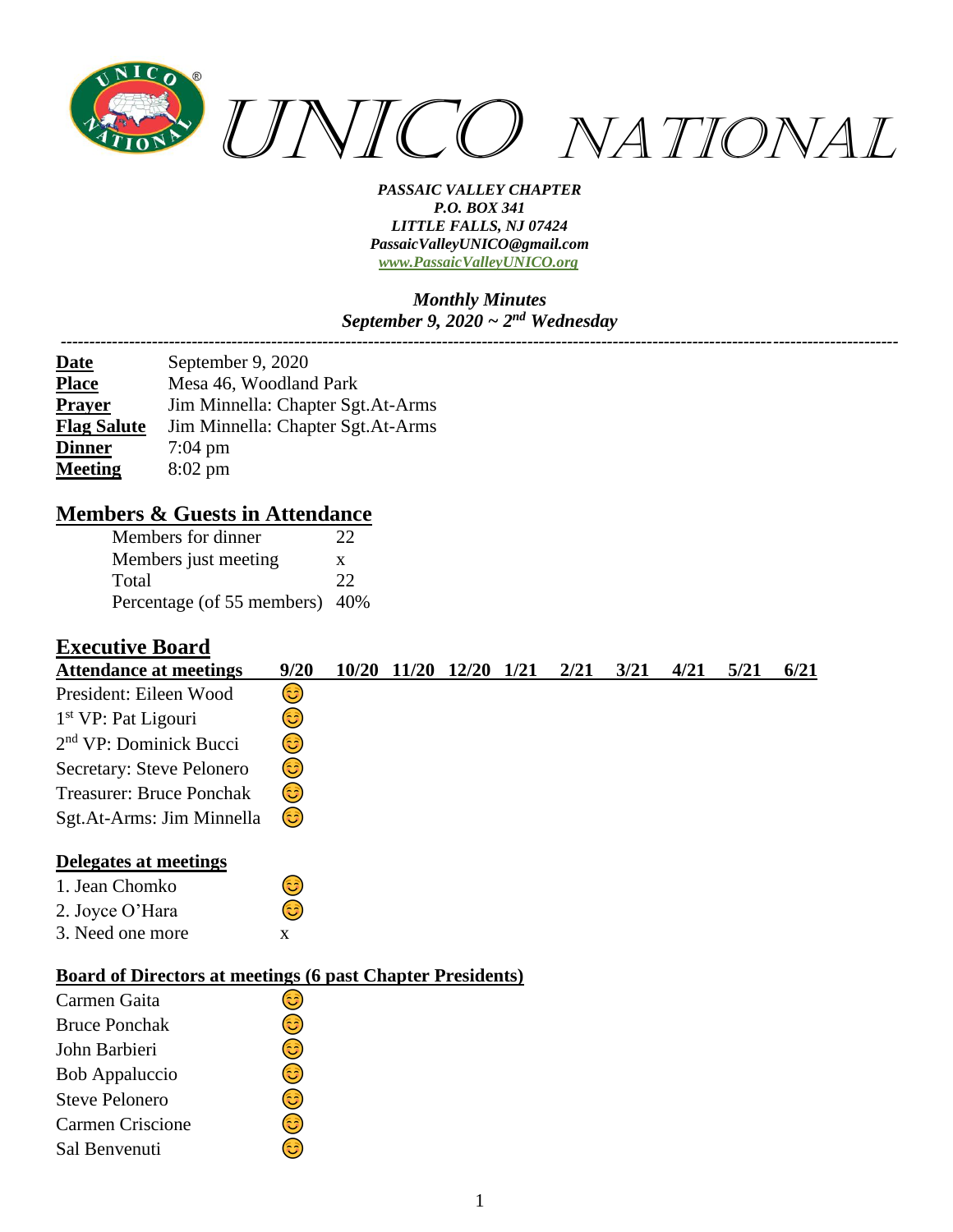

#### *Monthly Minutes September 9, 2020 ~ 2nd Wednesday ---------------------------------------------------------------------------------------------------------------------------------------------------*

| <b>Date</b>        | September 9, 2020                 |
|--------------------|-----------------------------------|
| <b>Place</b>       | Mesa 46, Woodland Park            |
| <b>Prayer</b>      | Jim Minnella: Chapter Sgt.At-Arms |
| <b>Flag Salute</b> | Jim Minnella: Chapter Sgt.At-Arms |
| <b>Dinner</b>      | $7:04 \text{ pm}$                 |
| <b>Meeting</b>     | $8:02 \text{ pm}$                 |

### **Members & Guests in Attendance**

| Members for dinner             | 22 |
|--------------------------------|----|
| Members just meeting           | X  |
| Total                          | 22 |
| Percentage (of 55 members) 40% |    |

### **Executive Board**

| <b>Attendance at meetings</b>                                     | 9/20         |  | 10/20 11/20 | 12/20 | 1/21 | 2/21 | 3/21 | 4/21 | 5/21 | 6/21 |
|-------------------------------------------------------------------|--------------|--|-------------|-------|------|------|------|------|------|------|
| President: Eileen Wood                                            | 3            |  |             |       |      |      |      |      |      |      |
| 1 <sup>st</sup> VP: Pat Ligouri                                   | ಟ            |  |             |       |      |      |      |      |      |      |
| $2nd$ VP: Dominick Bucci                                          | ಟ            |  |             |       |      |      |      |      |      |      |
| Secretary: Steve Pelonero                                         | ☺            |  |             |       |      |      |      |      |      |      |
| <b>Treasurer: Bruce Ponchak</b>                                   | ٢            |  |             |       |      |      |      |      |      |      |
| Sgt.At-Arms: Jim Minnella                                         | 3)           |  |             |       |      |      |      |      |      |      |
| Delegates at meetings                                             |              |  |             |       |      |      |      |      |      |      |
| 1. Jean Chomko                                                    | ಡ            |  |             |       |      |      |      |      |      |      |
| 2. Joyce O'Hara                                                   | 63           |  |             |       |      |      |      |      |      |      |
| 3. Need one more                                                  | $\mathbf{X}$ |  |             |       |      |      |      |      |      |      |
| <b>Board of Directors at meetings (6 past Chapter Presidents)</b> |              |  |             |       |      |      |      |      |      |      |
| Carmen Gaita                                                      | ತಿ           |  |             |       |      |      |      |      |      |      |
| <b>Bruce Ponchak</b>                                              | ಟ            |  |             |       |      |      |      |      |      |      |
| John Barbieri                                                     | ಟ            |  |             |       |      |      |      |      |      |      |
| <b>Bob Appaluccio</b>                                             | 3            |  |             |       |      |      |      |      |      |      |
| <b>Steve Pelonero</b>                                             | ಟ            |  |             |       |      |      |      |      |      |      |
| <b>Carmen Criscione</b>                                           | ತಿ           |  |             |       |      |      |      |      |      |      |
| Sal Benvenuti                                                     | 3            |  |             |       |      |      |      |      |      |      |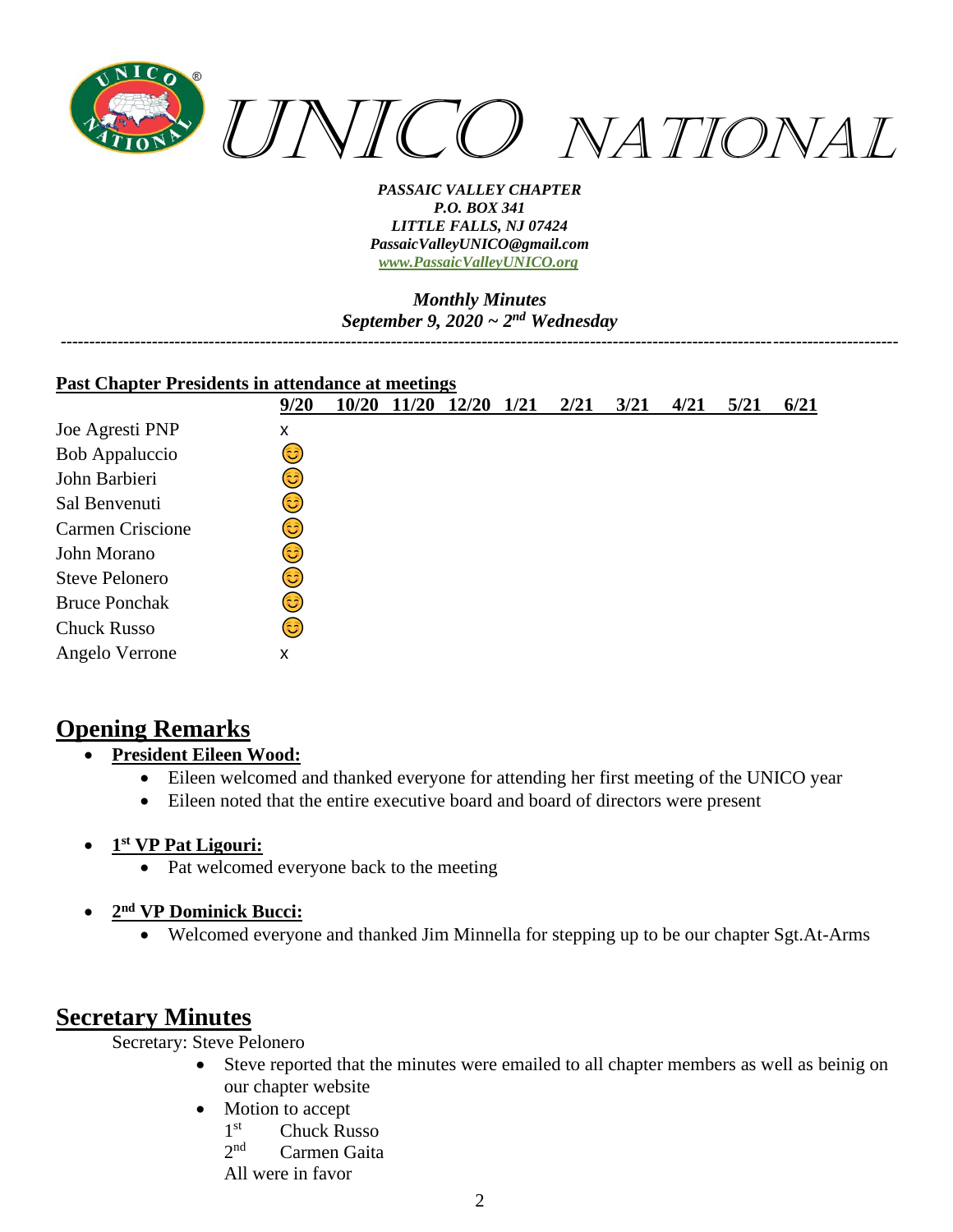

*Monthly Minutes September 9, 2020 ~ 2nd Wednesday*

*---------------------------------------------------------------------------------------------------------------------------------------------------*

| <b>Past Chapter Presidents in attendance at meetings</b> |      |       |       |       |      |      |      |      |      |      |
|----------------------------------------------------------|------|-------|-------|-------|------|------|------|------|------|------|
|                                                          | 9/20 | 10/20 | 11/20 | 12/20 | 1/21 | 2/21 | 3/21 | 4/21 | 5/21 | 6/21 |
| Joe Agresti PNP                                          | x    |       |       |       |      |      |      |      |      |      |
| Bob Appaluccio                                           | ಡಿ   |       |       |       |      |      |      |      |      |      |
| John Barbieri                                            | ಡಿ   |       |       |       |      |      |      |      |      |      |
| Sal Benvenuti                                            | ಡಿ   |       |       |       |      |      |      |      |      |      |
| <b>Carmen Criscione</b>                                  | ی    |       |       |       |      |      |      |      |      |      |
| John Morano                                              | ಟ    |       |       |       |      |      |      |      |      |      |
| <b>Steve Pelonero</b>                                    | 3    |       |       |       |      |      |      |      |      |      |
| <b>Bruce Ponchak</b>                                     | ಄)   |       |       |       |      |      |      |      |      |      |
| <b>Chuck Russo</b>                                       | 3    |       |       |       |      |      |      |      |      |      |
| Angelo Verrone                                           | X    |       |       |       |      |      |      |      |      |      |

## **Opening Remarks**

- **President Eileen Wood:**
	- Eileen welcomed and thanked everyone for attending her first meeting of the UNICO year
	- Eileen noted that the entire executive board and board of directors were present
- **1 st VP Pat Ligouri:**
	- Pat welcomed everyone back to the meeting
- **2 nd VP Dominick Bucci:**
	- Welcomed everyone and thanked Jim Minnella for stepping up to be our chapter Sgt.At-Arms

# **Secretary Minutes**

Secretary: Steve Pelonero

- Steve reported that the minutes were emailed to all chapter members as well as beinig on our chapter website
- Motion to accept
	- 1<sup>st</sup> **Chuck Russo**
	- $2<sub>nd</sub>$ Carmen Gaita

All were in favor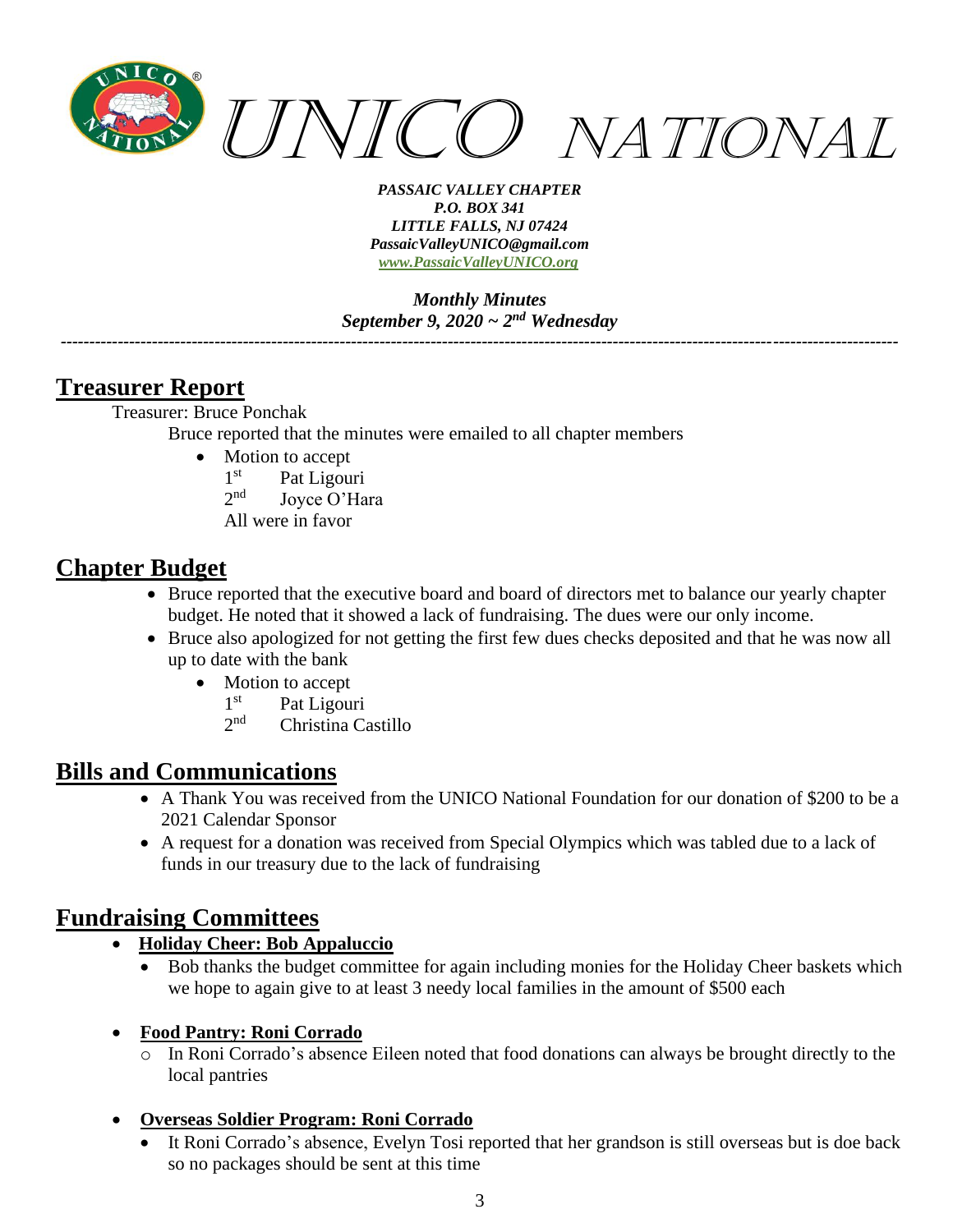

*Monthly Minutes September 9, 2020 ~ 2nd Wednesday*

*---------------------------------------------------------------------------------------------------------------------------------------------------*

# **Treasurer Report**

Treasurer: Bruce Ponchak Bruce reported that the minutes were emailed to all chapter members

- Motion to accept
	- $1^{\rm st}$ Pat Ligouri
	- $2<sub>nd</sub>$ Joyce O'Hara
	- All were in favor

## **Chapter Budget**

- Bruce reported that the executive board and board of directors met to balance our yearly chapter budget. He noted that it showed a lack of fundraising. The dues were our only income.
- Bruce also apologized for not getting the first few dues checks deposited and that he was now all up to date with the bank
	- Motion to accept
		- $1<sup>st</sup>$ Pat Ligouri
		- $2nd$ Christina Castillo

# **Bills and Communications**

- A Thank You was received from the UNICO National Foundation for our donation of \$200 to be a 2021 Calendar Sponsor
- A request for a donation was received from Special Olympics which was tabled due to a lack of funds in our treasury due to the lack of fundraising

## **Fundraising Committees**

#### • **Holiday Cheer: Bob Appaluccio**

• Bob thanks the budget committee for again including monies for the Holiday Cheer baskets which we hope to again give to at least 3 needy local families in the amount of \$500 each

#### • **Food Pantry: Roni Corrado**

o In Roni Corrado's absence Eileen noted that food donations can always be brought directly to the local pantries

### • **Overseas Soldier Program: Roni Corrado**

• It Roni Corrado's absence, Evelyn Tosi reported that her grandson is still overseas but is doe back so no packages should be sent at this time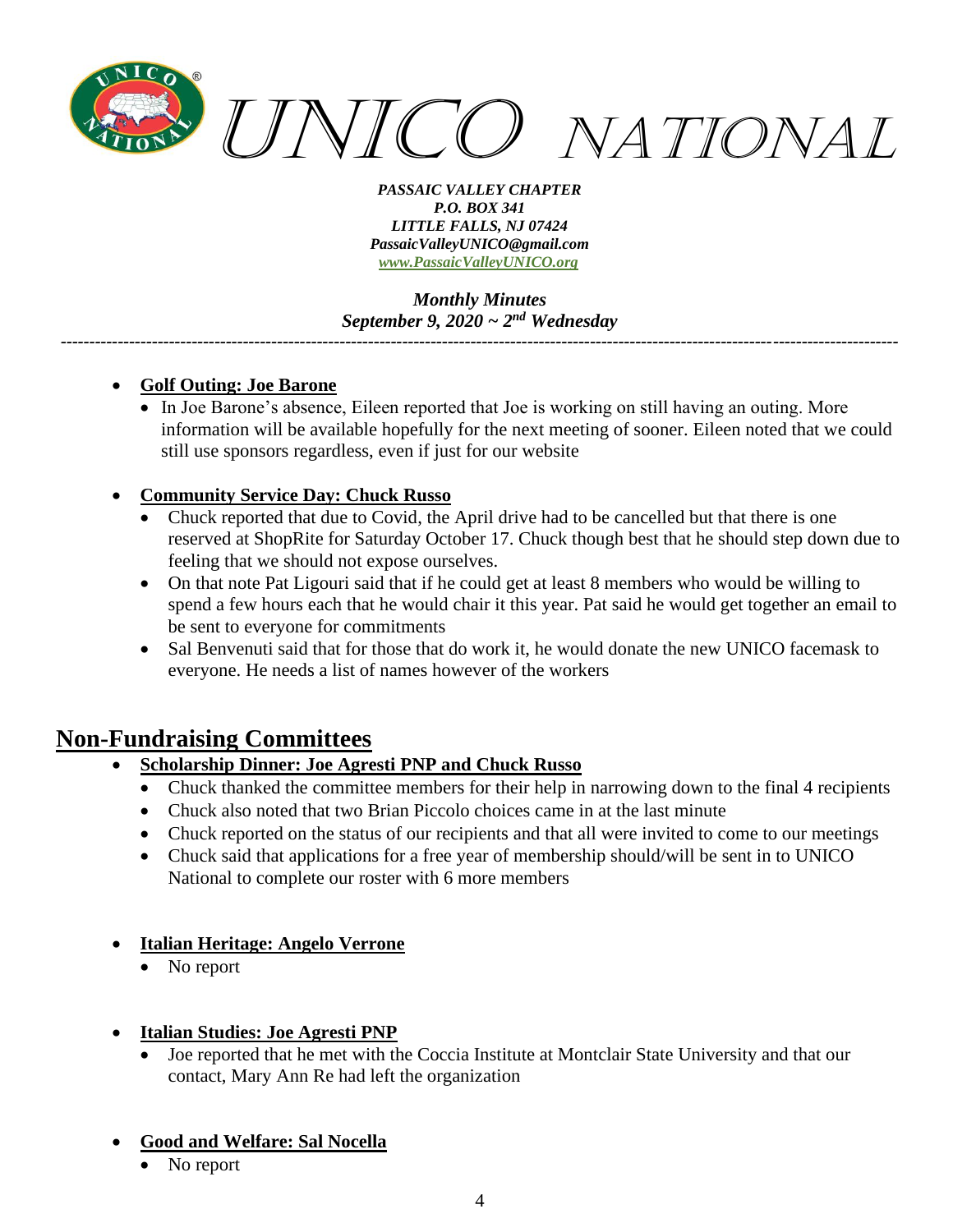

*Monthly Minutes September 9, 2020 ~ 2nd Wednesday*

*---------------------------------------------------------------------------------------------------------------------------------------------------*

- **Golf Outing: Joe Barone**
	- In Joe Barone's absence, Eileen reported that Joe is working on still having an outing. More information will be available hopefully for the next meeting of sooner. Eileen noted that we could still use sponsors regardless, even if just for our website

#### • **Community Service Day: Chuck Russo**

- Chuck reported that due to Covid, the April drive had to be cancelled but that there is one reserved at ShopRite for Saturday October 17. Chuck though best that he should step down due to feeling that we should not expose ourselves.
- On that note Pat Ligouri said that if he could get at least 8 members who would be willing to spend a few hours each that he would chair it this year. Pat said he would get together an email to be sent to everyone for commitments
- Sal Benvenuti said that for those that do work it, he would donate the new UNICO facemask to everyone. He needs a list of names however of the workers

## **Non-Fundraising Committees**

### • **Scholarship Dinner: Joe Agresti PNP and Chuck Russo**

- Chuck thanked the committee members for their help in narrowing down to the final 4 recipients
- Chuck also noted that two Brian Piccolo choices came in at the last minute
- Chuck reported on the status of our recipients and that all were invited to come to our meetings
- Chuck said that applications for a free year of membership should/will be sent in to UNICO National to complete our roster with 6 more members
- **Italian Heritage: Angelo Verrone**
	- No report
- **Italian Studies: Joe Agresti PNP**
	- Joe reported that he met with the Coccia Institute at Montclair State University and that our contact, Mary Ann Re had left the organization

#### • **Good and Welfare: Sal Nocella**

• No report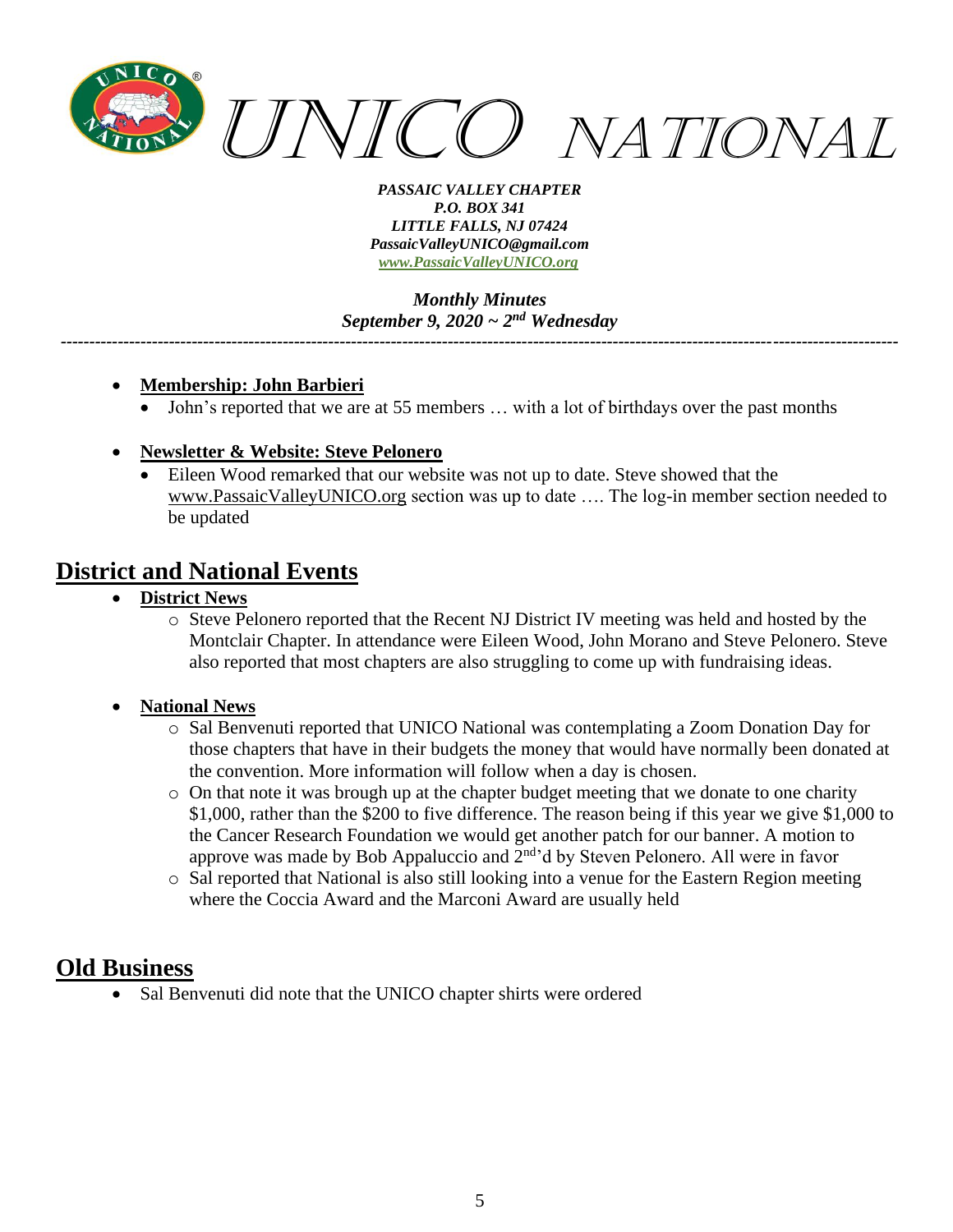

*Monthly Minutes September 9, 2020 ~ 2nd Wednesday*

*---------------------------------------------------------------------------------------------------------------------------------------------------*

- **Membership: John Barbieri**
	- John's reported that we are at 55 members … with a lot of birthdays over the past months
- **Newsletter & Website: Steve Pelonero**
	- Eileen Wood remarked that our website was not up to date. Steve showed that the [www.PassaicValleyUNICO.org](http://www.passaicvalleyunico.org/) section was up to date …. The log-in member section needed to be updated

### **District and National Events**

- **District News**
	- o Steve Pelonero reported that the Recent NJ District IV meeting was held and hosted by the Montclair Chapter. In attendance were Eileen Wood, John Morano and Steve Pelonero. Steve also reported that most chapters are also struggling to come up with fundraising ideas.

#### • **National News**

- o Sal Benvenuti reported that UNICO National was contemplating a Zoom Donation Day for those chapters that have in their budgets the money that would have normally been donated at the convention. More information will follow when a day is chosen.
- o On that note it was brough up at the chapter budget meeting that we donate to one charity \$1,000, rather than the \$200 to five difference. The reason being if this year we give \$1,000 to the Cancer Research Foundation we would get another patch for our banner. A motion to approve was made by Bob Appaluccio and 2<sup>nd</sup>'d by Steven Pelonero. All were in favor
- o Sal reported that National is also still looking into a venue for the Eastern Region meeting where the Coccia Award and the Marconi Award are usually held

### **Old Business**

Sal Benvenuti did note that the UNICO chapter shirts were ordered